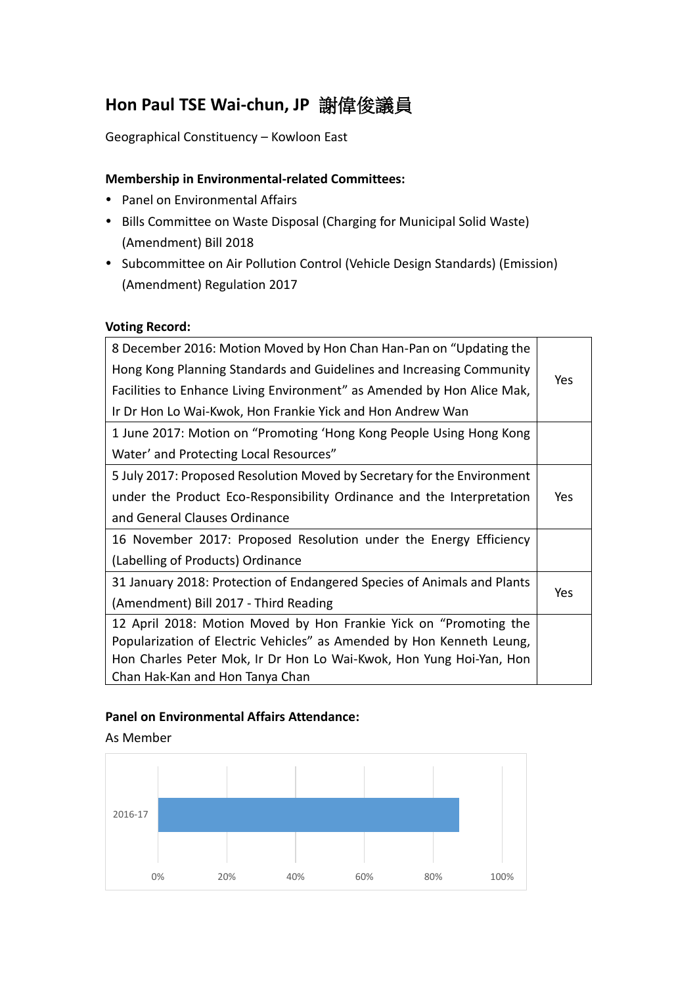# **Hon Paul TSE Wai-chun, JP** 謝偉俊議員

Geographical Constituency – Kowloon East

## **Membership in Environmental-related Committees:**

- Panel on Environmental Affairs
- Bills Committee on Waste Disposal (Charging for Municipal Solid Waste) (Amendment) Bill 2018
- Subcommittee on Air Pollution Control (Vehicle Design Standards) (Emission) (Amendment) Regulation 2017

#### **Voting Record:**

| 8 December 2016: Motion Moved by Hon Chan Han-Pan on "Updating the      |     |  |  |
|-------------------------------------------------------------------------|-----|--|--|
| Hong Kong Planning Standards and Guidelines and Increasing Community    | Yes |  |  |
| Facilities to Enhance Living Environment" as Amended by Hon Alice Mak,  |     |  |  |
| Ir Dr Hon Lo Wai-Kwok, Hon Frankie Yick and Hon Andrew Wan              |     |  |  |
| 1 June 2017: Motion on "Promoting 'Hong Kong People Using Hong Kong     |     |  |  |
| Water' and Protecting Local Resources"                                  |     |  |  |
| 5 July 2017: Proposed Resolution Moved by Secretary for the Environment |     |  |  |
| under the Product Eco-Responsibility Ordinance and the Interpretation   | Yes |  |  |
| and General Clauses Ordinance                                           |     |  |  |
| 16 November 2017: Proposed Resolution under the Energy Efficiency       |     |  |  |
| (Labelling of Products) Ordinance                                       |     |  |  |
| 31 January 2018: Protection of Endangered Species of Animals and Plants |     |  |  |
| (Amendment) Bill 2017 - Third Reading                                   | Yes |  |  |
| 12 April 2018: Motion Moved by Hon Frankie Yick on "Promoting the       |     |  |  |
| Popularization of Electric Vehicles" as Amended by Hon Kenneth Leung,   |     |  |  |
| Hon Charles Peter Mok, Ir Dr Hon Lo Wai-Kwok, Hon Yung Hoi-Yan, Hon     |     |  |  |
| Chan Hak-Kan and Hon Tanya Chan                                         |     |  |  |

### **Panel on Environmental Affairs Attendance:**

As Member